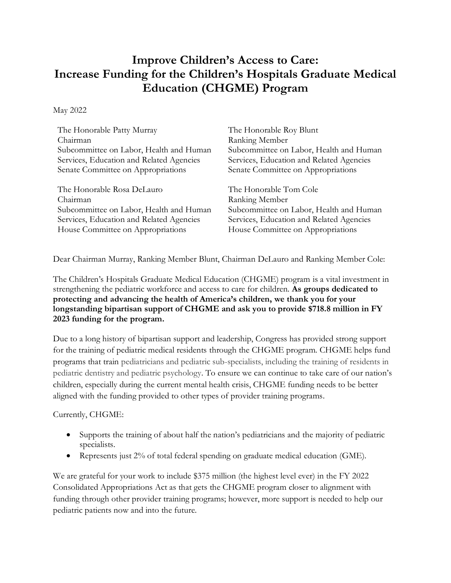## **Improve Children's Access to Care: Increase Funding for the Children's Hospitals Graduate Medical Education (CHGME) Program**

May 2022

| The Honorable Patty Murray               | The Honorable Roy Blunt                  |
|------------------------------------------|------------------------------------------|
| Chairman                                 | Ranking Member                           |
| Subcommittee on Labor, Health and Human  | Subcommittee on Labor, Health and Human  |
| Services, Education and Related Agencies | Services, Education and Related Agencies |
| Senate Committee on Appropriations       | Senate Committee on Appropriations       |
| The Honorable Rosa DeLauro               | The Honorable Tom Cole                   |
| Chairman                                 | Ranking Member                           |
| Subcommittee on Labor, Health and Human  | Subcommittee on Labor, Health and Human  |
| Services, Education and Related Agencies | Services, Education and Related Agencies |
| House Committee on Appropriations        | House Committee on Appropriations        |

Dear Chairman Murray, Ranking Member Blunt, Chairman DeLauro and Ranking Member Cole:

The Children's Hospitals Graduate Medical Education (CHGME) program is a vital investment in strengthening the pediatric workforce and access to care for children. **As groups dedicated to protecting and advancing the health of America's children, we thank you for your longstanding bipartisan support of CHGME and ask you to provide \$718.8 million in FY 2023 funding for the program.**

Due to a long history of bipartisan support and leadership, Congress has provided strong support for the training of pediatric medical residents through the CHGME program. CHGME helps fund programs that train pediatricians and pediatric sub-specialists, including the training of residents in pediatric dentistry and pediatric psychology. To ensure we can continue to take care of our nation's children, especially during the current mental health crisis, CHGME funding needs to be better aligned with the funding provided to other types of provider training programs.

Currently, CHGME:

- Supports the training of about half the nation's pediatricians and the majority of pediatric specialists.
- Represents just 2% of total federal spending on graduate medical education (GME).

We are grateful for your work to include \$375 million (the highest level ever) in the FY 2022 Consolidated Appropriations Act as that gets the CHGME program closer to alignment with funding through other provider training programs; however, more support is needed to help our pediatric patients now and into the future.